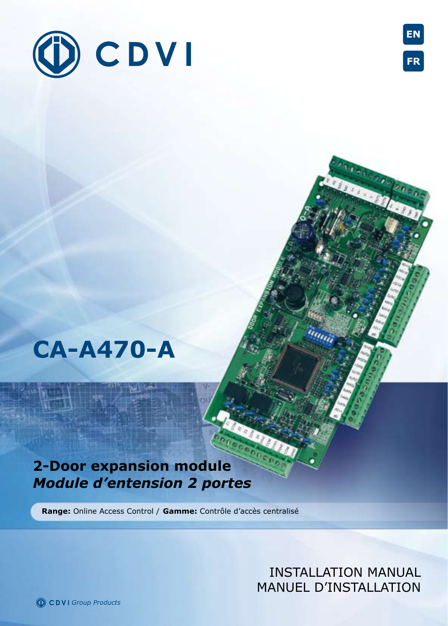



**SONO DE** 

# **CA-A470-A**

# *Module d'entension 2 portes* **2-Door expansion module**

**Range:** Online Access Control / Gamme: Contrôle d'accès centralisé

MANUEL D'INSTALLATION INSTALLATION MANUAL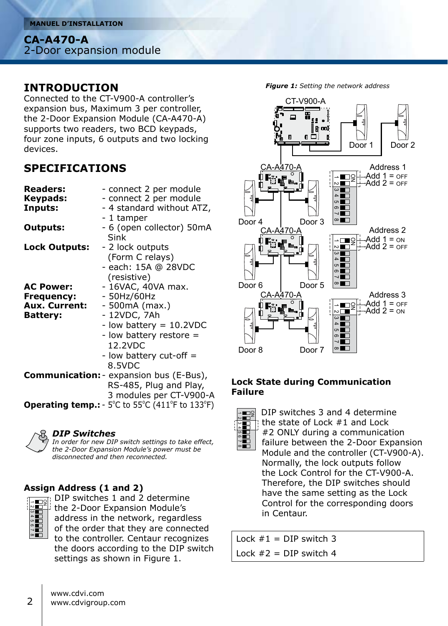#### **INTRODUCTION**

Connected to the CT-V900-A controller's expansion bus, Maximum 3 per controller, the 2-Door Expansion Module (CA-A470-A) supports two readers, two BCD keypads, four zone inputs, 6 outputs and two locking devices.

### **SPECIFICATIONS**

| <b>Readers:</b>      | - connect 2 per module                                                                           |
|----------------------|--------------------------------------------------------------------------------------------------|
| Keypads:             | - connect 2 per module                                                                           |
| Inputs:              | - 4 standard without ATZ,                                                                        |
|                      | - 1 tamper                                                                                       |
| Outputs:             | - 6 (open collector) 50mA                                                                        |
|                      | Sink                                                                                             |
| <b>Lock Outputs:</b> | - 2 lock outputs                                                                                 |
|                      | (Form C relays)                                                                                  |
|                      | - each: 15A @ 28VDC                                                                              |
|                      | (resistive)                                                                                      |
| <b>AC Power:</b>     | - 16VAC, 40VA max.                                                                               |
| <b>Frequency:</b>    | - 50Hz/60Hz                                                                                      |
| <b>Aux. Current:</b> | - 500mA (max.)                                                                                   |
| <b>Battery:</b>      | - 12VDC, 7Ah                                                                                     |
|                      | - low battery $= 10.2$ VDC                                                                       |
|                      | - low battery restore =                                                                          |
|                      | 12.2VDC                                                                                          |
|                      | - low battery cut-off =                                                                          |
|                      | 8.5VDC                                                                                           |
|                      | <b>Communication:</b> - expansion bus (E-Bus),                                                   |
|                      | RS-485, Plug and Play,                                                                           |
|                      | 3 modules per CT-V900-A                                                                          |
|                      | <b>Operating temp.:</b> $-5^{\circ}$ C to 55 $^{\circ}$ C (411 $^{\circ}$ F to 133 $^{\circ}$ F) |
|                      |                                                                                                  |



#### *DIP Switches*

*In order for new DIP switch settings to take effect, the 2-Door Expansion Module's power must be disconnected and then reconnected.*

#### **Assign Address (1 and 2)**



 $\sqrt{\frac{1}{2}}$  DIP switches 1 and 2 determine the 2-Door Expansion Module's address in the network, regardless of the order that they are connected to the controller. Centaur recognizes the doors according to the DIP switch settings as shown in Figure 1.



#### **Lock State during Communication Failure**

Door 8 Door 7

S DIP switches 3 and 4 determine the state of Lock #1 and Lock #2 ONLY during a communication failure between the 2-Door Expansion Module and the controller (CT-V900-A). Normally, the lock outputs follow the Lock Control for the CT-V900-A. Therefore, the DIP switches should have the same setting as the Lock Control for the corresponding doors in Centaur.

 $Lock #1 = DIP$  switch 3  $Lock #2 = DIP$  switch 4

*Figure 1: Setting the network address*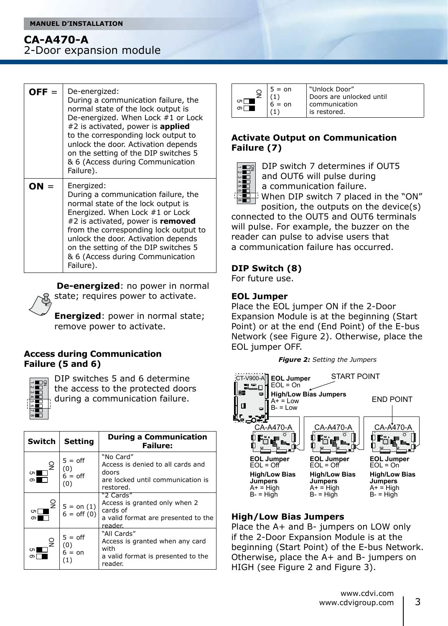#### **CA-A470-A** 2-Door expansion module

| NFF = | De-energized:<br>During a communication failure, the<br>normal state of the lock output is<br>De-energized. When Lock #1 or Lock<br>#2 is activated, power is <b>applied</b><br>to the corresponding lock output to<br>unlock the door. Activation depends<br>on the setting of the DIP switches 5<br>& 6 (Access during Communication<br>Failure). |
|-------|-----------------------------------------------------------------------------------------------------------------------------------------------------------------------------------------------------------------------------------------------------------------------------------------------------------------------------------------------------|
| ON =  | Energized:<br>During a communication failure, the<br>normal state of the lock output is<br>Energized. When Lock #1 or Lock<br>#2 is activated, power is removed<br>from the corresponding lock output to<br>unlock the door. Activation depends<br>on the setting of the DIP switches 5<br>& 6 (Access during Communication<br>Failure).            |

**De-energized**: no power in normal state; requires power to activate.

 **Energized**: power in normal state; remove power to activate.

#### **Access during Communication Failure (5 and 6)**



 DIP switches 5 and 6 determine the access to the protected doors during a communication failure.

| <b>Switch</b>  | Setting                                     | <b>During a Communication</b><br><b>Failure:</b>                                                          |
|----------------|---------------------------------------------|-----------------------------------------------------------------------------------------------------------|
| g<br>ပ္စ       | $5 =$ off<br>$(0)$<br>6 = off<br>(0)        | "No Card"<br>Access is denied to all cards and<br>doors<br>are locked until communication is<br>restored. |
| জা⊒<br>$\circ$ | $5 = \text{on} (1)$<br>$6 = \text{off} (0)$ | "2 Cards"<br>Access is granted only when 2<br>cards of<br>a valid format are presented to the<br>reader.  |
| $\overline{2}$ | $5 =$ off<br>(0)<br>$6 = on$<br>(1)         | "All Cards"<br>Access is granted when any card<br>with<br>a valid format is presented to the<br>reader.   |

| $5 = \text{on}$<br>$6 =$ on | "Unlock Door"<br>Doors are unlocked until<br>communication<br>is restored. |
|-----------------------------|----------------------------------------------------------------------------|
|-----------------------------|----------------------------------------------------------------------------|

#### **Activate Output on Communication Failure (7)**

 DIP switch 7 determines if OUT5 and OUT6 will pulse during a communication failure.

When DIP switch 7 placed in the "ON" position, the outputs on the device(s)

connected to the OUT5 and OUT6 terminals will pulse. For example, the buzzer on the reader can pulse to advise users that a communication failure has occurred.

#### **DIP Switch (8)**

For future use.

#### **EOL Jumper**

Place the EOL jumper ON if the 2-Door Expansion Module is at the beginning (Start Point) or at the end (End Point) of the E-bus Network (see Figure 2). Otherwise, place the EOL jumper OFF.

*Figure 2: Setting the Jumpers*

START POINT **EOL Jumper** CT-V900-A  $EOL = On$ 급 **High/Low Bias Jumpers** END POINT  $A+ = I$  nw  $B = Low$ CA-A470-ACA-A470-ACA-A470-A $-$ CA - A470 - A  $-$  A470  $-$ **EOL Jumper EOL Jumper EOL Jumper**  $E(Y) = Y$  $E(t) = 0$ ff  $E(1) = 0n$ **High/Low Bias High/Low Bias High/Low Bias Jumpers Jumpers Jumpers**  $A+$  = High  $A+$  = High  $A+$  =  $High$  $B = High$  $B - =$  High  $B - =$  High

#### **High/Low Bias Jumpers**

Place the A+ and B- jumpers on LOW only if the 2-Door Expansion Module is at the beginning (Start Point) of the E-bus Network. Otherwise, place the A+ and B- jumpers on HIGH (see Figure 2 and Figure 3).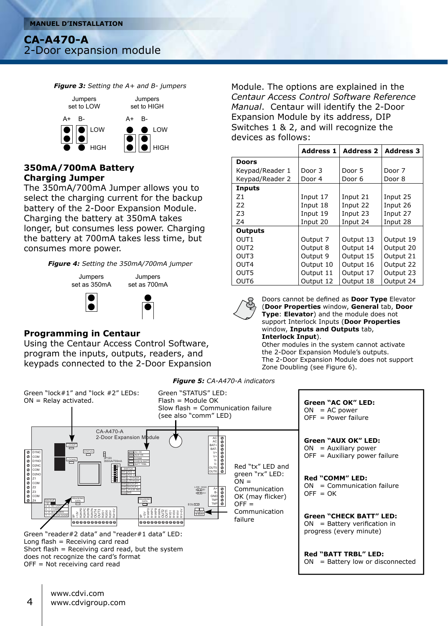#### **MANUEL D'INSTALLATION**

#### **CA-A470-A** 2-Door expansion module

*Figure 3: Setting the A+ and B- jumpers*



#### **350mA/700mA Battery Charging Jumper**

The 350mA/700mA Jumper allows you to select the charging current for the backup battery of the 2-Door Expansion Module. Charging the battery at 350mA takes longer, but consumes less power. Charging the battery at 700mA takes less time, but consumes more power.

*Figure 4: Setting the 350mA/700mA jumper*







#### **Programming in Centaur**

Using the Centaur Access Control Software, program the inputs, outputs, readers, and keypads connected to the 2-Door Expansion

*Figure 5: CA-A470-A indicators* Green "lock#1" and "lock #2" LEDs: Green "STATUS" LED: ON = Relay activated. Flash = Module OK Slow flash =  $Commonization failure$ (see also "comm" LED) CA-A470-A 2-Door Expansion Module AC AC ,,,,,,, LOCK#1 BAT+ + BAT- $800000000000$ D1NC V+ COM V+ JP120 COMM LOCK#2 D1NO V-350mA/700mA CHECK BATT BATT TRBL V-D2NC 8 ONOUT5 COM SWITCH OUT6 SW1 ADD 1 D2NO SW2 ADD 2 SW3 L1Energize Z1  $ON =$ SW4 L2Energize COM SW5 BACKUP1 SW6 BACKUP2 A+

Module. The options are explained in the *Centaur Access Control Software Reference Manual*. Centaur will identify the 2-Door Expansion Module by its address, DIP Switches 1 & 2, and will recognize the devices as follows:

|                  | Address 1 | Address 2 | <b>Address 3</b> |
|------------------|-----------|-----------|------------------|
| Doors            |           |           |                  |
| Keypad/Reader 1  | Door 3    | Door 5    | Door 7           |
| Keypad/Reader 2  | Door 4    | Door 6    | Door 8           |
| <b>Inputs</b>    |           |           |                  |
| Z1               | Input 17  | Input 21  | Input 25         |
| Z <sub>2</sub>   | Input 18  | Input 22  | Input 26         |
| Z <sub>3</sub>   | Input 19  | Input 23  | Input 27         |
| Z4               | Input 20  | Input 24  | Input 28         |
| Outputs          |           |           |                  |
| OUT <sub>1</sub> | Output 7  | Output 13 | Output 19        |
| OUT <sub>2</sub> | Output 8  | Output 14 | Output 20        |
| OUT3             | Output 9  | Output 15 | Output 21        |
| OUT <sub>4</sub> | Output 10 | Output 16 | Output 22        |
| OUT5             | Output 11 | Output 17 | Output 23        |
| OUT6             | Output 12 | Output 18 | Output 24        |



Doors cannot be defined as **Door Type** Elevator (**Door Properties** window, **General** tab, **Door Type**: **Elevator**) and the module does not support Interlock Inputs (**Door Properties** window, **Inputs and Outputs** tab, **Interlock Input**).

 Other modules in the system cannot activate the 2-Door Expansion Module's outputs. The 2-Door Expansion Module does not support Zone Doubling (see Figure 6).



www.cdvi.com www.cdvigroup.com

SP +12V R2/KPD R2/KPC R2/KPB R2/KPA

COM Z4

BACKUP

NO CARD

2 CARDS ALL CARDS UNLOCK DOOR 0 1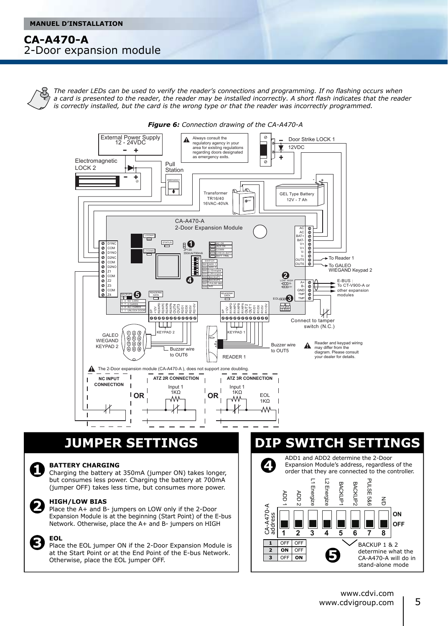**1**

**2**

**3**

#### **CA-A470-A** 2-Door expansion module

The reader LEDs can be used to verify the reader's connections and programming. If no flashing occurs when *a card is presented to the reader, the reader may be installed incorrectly. A short fl ash indicates that the reader is correctly installed, but the card is the wrong type or that the reader was incorrectly programmed.*





stand-alone mode

5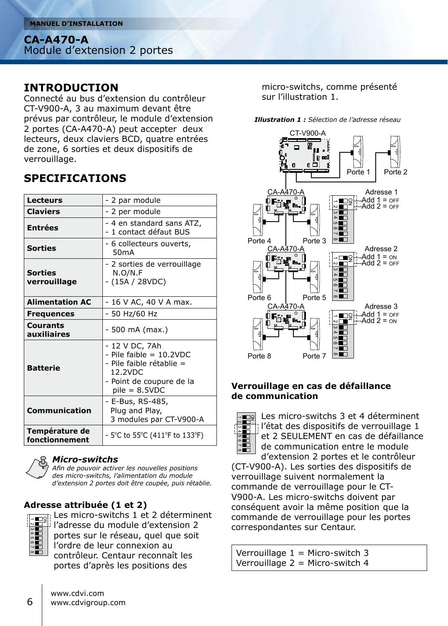#### **INTRODUCTION**

Connecté au bus d'extension du contrôleur CT-V900-A, 3 au maximum devant être prévus par contrôleur, le module d'extension 2 portes (CA-A470-A) peut accepter deux lecteurs, deux claviers BCD, quatre entrées de zone, 6 sorties et deux dispositifs de verrouillage.

| <b>Lecteurs</b>                  | - 2 par module                                                                                                                     |  |
|----------------------------------|------------------------------------------------------------------------------------------------------------------------------------|--|
| <b>Claviers</b>                  | - 2 per module                                                                                                                     |  |
| <b>Entrées</b>                   | - 4 en standard sans ATZ,<br>- 1 contact défaut BUS                                                                                |  |
| <b>Sorties</b>                   | - 6 collecteurs ouverts,<br>50 <sub>m</sub> A                                                                                      |  |
| <b>Sorties</b><br>verrouillage   | - 2 sorties de verrouillage<br>N.0/N.F<br>- (15A / 28VDC)                                                                          |  |
| <b>Alimentation AC</b>           | - 16 V AC, 40 V A max.                                                                                                             |  |
| <b>Frequences</b>                | - 50 Hz/60 Hz                                                                                                                      |  |
| Courants<br>auxiliaires          | - 500 mA (max.)                                                                                                                    |  |
| Batterie                         | - 12 V DC, 7Ah<br>- Pile faible $= 10.2$ VDC<br>- Pile faible rétablie =<br>12.2VDC<br>- Point de coupure de la<br>$pile = 8.5VDC$ |  |
| <b>Communication</b>             | - E-Bus, RS-485,<br>Plug and Play,<br>3 modules par CT-V900-A                                                                      |  |
| Température de<br>fonctionnement | - 5°C to 55°C (411°F to 133°F)                                                                                                     |  |

#### **SPECIFICATIONS**



#### *Micro-switchs*

Afin de pouvoir activer les nouvelles positions *des micro-switchs, l'alimentation du module d'extension 2 portes doit être coupée, puis rétablie.* 

#### **Adresse attribuée (1 et 2)**



g Les micro-switchs 1 et 2 déterminent l'adresse du module d'extension 2 portes sur le réseau, quel que soit l'ordre de leur connexion au contrôleur. Centaur reconnaît les portes d'après les positions des

 micro-switchs, comme présenté sur l'illustration 1.

#### *Illustration 1 : Sélection de l'adresse réseau*



#### **Verrouillage en cas de défaillance de communication**

ş Les micro-switchs 3 et 4 déterminent l'état des dispositifs de verrouillage 1 et 2 SEULEMENT en cas de défaillance de communication entre le module d'extension 2 portes et le contrôleur

(CT-V900-A). Les sorties des dispositifs de verrouillage suivent normalement la commande de verrouillage pour le CT-V900-A. Les micro-switchs doivent par conséquent avoir la même position que la commande de verrouillage pour les portes correspondantes sur Centaur.

Verrouillage  $1 =$  Micro-switch 3 Verrouillage 2 = Micro-switch 4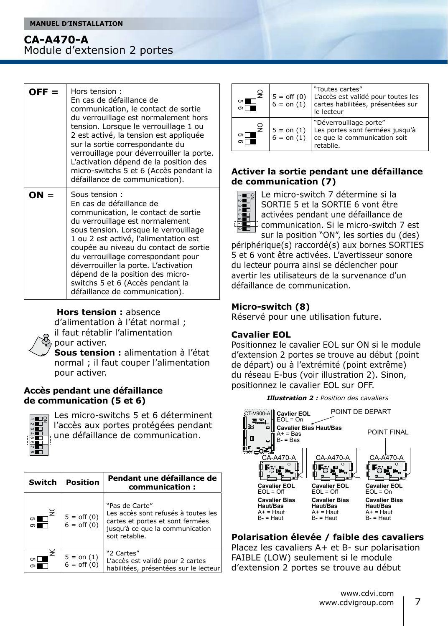#### **CA-A470-A** Module d'extension 2 portes

| NFF = | Hors tension:<br>En cas de défaillance de<br>communication, le contact de sortie<br>du verrouillage est normalement hors<br>tension. Lorsque le verrouillage 1 ou<br>2 est activé, la tension est appliquée<br>sur la sortie correspondante du<br>verrouillage pour déverrouiller la porte.<br>L'activation dépend de la position des<br>micro-switchs 5 et 6 (Accès pendant la<br>défaillance de communication).                      |
|-------|----------------------------------------------------------------------------------------------------------------------------------------------------------------------------------------------------------------------------------------------------------------------------------------------------------------------------------------------------------------------------------------------------------------------------------------|
| ON.   | Sous tension:<br>En cas de défaillance de<br>communication, le contact de sortie<br>du verrouillage est normalement<br>sous tension. Lorsque le verrouillage<br>1 ou 2 est activé, l'alimentation est<br>coupée au niveau du contact de sortie<br>du verrouillage correspondant pour<br>déverrouiller la porte. L'activation<br>dépend de la position des micro-<br>switchs 5 et 6 (Accès pendant la<br>défaillance de communication). |

#### **Hors tension :** absence

 d'alimentation à l'état normal ; il faut rétablir l'alimentation

pour activer.

 **Sous tension :** alimentation à l'état normal ; il faut couper l'alimentation pour activer.

#### **Accès pendant une défaillance de communication (5 et 6)**



 Les micro-switchs 5 et 6 déterminent l'accès aux portes protégées pendant une défaillance de communication.

| <b>Switch</b>      | <b>Position</b>                            | Pendant une défaillance de<br>communication:                                                                                                   |  |
|--------------------|--------------------------------------------|------------------------------------------------------------------------------------------------------------------------------------------------|--|
| $\geq$<br>CT.<br>თ | $5 = \text{off}(0)$<br>$6 = \text{off}(0)$ | "Pas de Carte"<br>Les accès sont refusés à toutes les<br>cartes et portes et sont fermées<br>jusqu'à ce que la communication<br>soit retablie. |  |
|                    | $5 = on(1)$<br>$6 = \text{off}(\vec{0})$   | "2 Cartes"<br>L'accès est validé pour 2 cartes<br>habilitées, présentées sur le lecteur                                                        |  |

| ラ | $5 = off(0)$<br>$6 =$ on $(1)$      | "Toutes cartes"<br>L'accès est validé pour toutes les<br>cartes habilitées, présentées sur<br>le lecteur |
|---|-------------------------------------|----------------------------------------------------------------------------------------------------------|
| ¥ | $5 = on (1)$<br>$6 = \text{on} (1)$ | "Déverrouillage porte"<br>Les portes sont fermées jusqu'à<br>ce que la communication soit<br>retablie.   |

#### **Activer la sortie pendant une défaillance de communication (7)**

S Le micro-switch 7 détermine si la SORTIE 5 et la SORTIE 6 vont être activées pendant une défaillance de  $\ddot{\nu}$  communication. Si le micro-switch 7 est sur la position "ON", les sorties du (des)

périphérique(s) raccordé(s) aux bornes SORTIES 5 et 6 vont être activées. L'avertisseur sonore du lecteur pourra ainsi se déclencher pour avertir les utilisateurs de la survenance d'un défaillance de communication.

#### **Micro-switch (8)**

Réservé pour une utilisation future.

#### **Cavalier EOL**

Positionnez le cavalier EOL sur ON si le module d'extension 2 portes se trouve au début (point de départ) ou à l'extrémité (point extrême) du réseau E-bus (voir illustration 2). Sinon, positionnez le cavalier EOL sur OFF.



#### **Polarisation élevée / faible des cavaliers**

Placez les cavaliers A+ et B- sur polarisation FAIBLE (LOW) seulement si le module d'extension 2 portes se trouve au début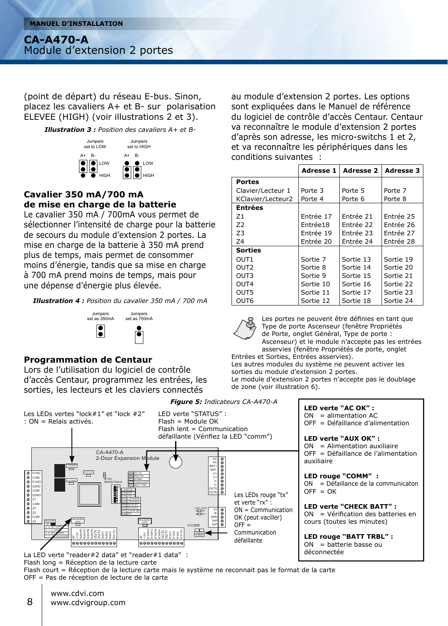(point de départ) du réseau E-bus. Sinon, placez les cavaliers A+ et B- sur polarisation ELEVEE (HIGH) (voir illustrations 2 et 3).

*Illustration 3 : Position des cavaliers A+ et B-*



#### **Cavalier 350 mA/700 mA de mise en charge de la batterie**

Le cavalier 350 mA / 700mA vous permet de sélectionner l'intensité de charge pour la batterie de secours du module d'extension 2 portes. La mise en charge de la batterie à 350 mA prend plus de temps, mais permet de consommer moins d'énergie, tandis que sa mise en charge à 700 mA prend moins de temps, mais pour une dépense d'énergie plus élevée.

*Illustration 4 : Position du cavalier 350 mA / 700 mA*



#### **Programmation de Centaur**

Lors de l'utilisation du logiciel de contrôle d'accès Centaur, programmez les entrées, les sorties, les lecteurs et les claviers connectés

au module d'extension 2 portes. Les options sont expliquées dans le Manuel de référence du logiciel de contrôle d'accès Centaur. Centaur va reconnaître le module d'extension 2 portes d'après son adresse, les micro-switchs 1 et 2, et va reconnaître les périphériques dans les conditions suivantes :

|                   | <b>Adresse 1</b> | <b>Adresse 2</b> | <b>Adresse 3</b> |
|-------------------|------------------|------------------|------------------|
| Portes            |                  |                  |                  |
| Clavier/Lecteur 1 | Porte 3          | Porte 5          | Porte 7          |
| KClavier/Lecteur2 | Porte 4          | Porte 6          | Porte 8          |
| Entrées           |                  |                  |                  |
| Z1                | Entrée 17        | Entrée 21        | Entrée 25        |
| Z <sub>2</sub>    | Entrée18         | Entrée 22        | Entrée 26        |
| 73                | Entrée 19        | Entrée 23        | Entrée 27        |
| Z4                | Entrée 20        | Entrée 24        | Entrée 28        |
| <b>Sorties</b>    |                  |                  |                  |
| OUT <sub>1</sub>  | Sortie 7         | Sortie 13        | Sortie 19        |
| OUT <sub>2</sub>  | Sortie 8         | Sortie 14        | Sortie 20        |
| OUT3              | Sortie 9         | Sortie 15        | Sortie 21        |
| OUT <sub>4</sub>  | Sortie 10        | Sortie 16        | Sortie 22        |
| OUT5              | Sortie 11        | Sortie 17        | Sortie 23        |
| OUT6              | Sortie 12        | Sortie 18        | Sortie 24        |

Les portes ne peuvent être définies en tant que Type de porte Ascenseur (fenêtre Propriétés de Porte, onglet Général, Type de porte : Ascenseur) et le module n'accepte pas les entrées asservies (fenêtre Propriétés de porte, onglet Entrées et Sorties, Entrées asservies).

Les autres modules du système ne peuvent activer les sorties du module d'extension 2 portes. Le module d'extension 2 portes n'accepte pas le doublage de zone (voir illustration 6).



Flash court = Réception de la lecture carte mais le système ne reconnait pas le format de la carte

OFF = Pas de réception de lecture de la carte

www.cdvi.com www.cdvigroup.com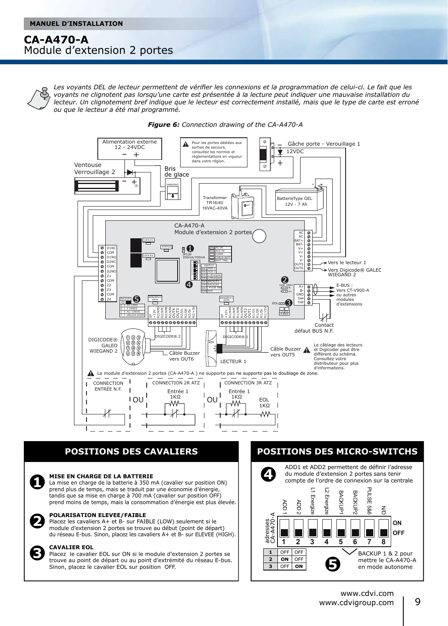#### **CA-A470-A** Module d'extension 2 portes

Les voyants DEL de lecteur permettent de vérifier les connexions et la programmation de celui-ci. Le fait que les voyants ne clignotent pas lorsqu'une carte est présentée à la lecture peut indiquer une mauvaise installation du lecteur. Un clignotement bref indique que le lecteur est correctement installé, mais que le type de carte est erroné *ou que le lecteur a été mal programmé.*



*Figure 6: Connection drawing of the CA-A470-A*

**MISE EN CHARGE DE LA BATTERIE** La mise en charge de la batterie à 350 mA (cavalier sur position ON) prend plus de temps, mais se traduit par une économie d'énergie, tandis que sa mise en charge à 700 mA (cavalier sur position OFF) prend moins de temps, mais la consommation d'énergie est plus élevée.

#### **POLARISATION ELEVEE/FAIBLE**

Placez les cavaliers A+ et B- sur FAIBLE (LOW) seulement si le module d'extension 2 portes se trouve au début (point de départ) du réseau E-bus. Sinon, placez les cavaliers A+ et B- sur ELEVEE (HIGH).

#### **CAVALIER EOL**

**1**

**2**

**3**

Placez le cavalier EOL sur ON si le module d'extension 2 portes se trouve au point de départ ou au point d'extrémité du réseau E-bus. Sinon, placez le cavalier EOL sur position OFF.

#### **POSITIONS DES CAVALIERS POSITIONS DES MICRO-SWITCHS**



9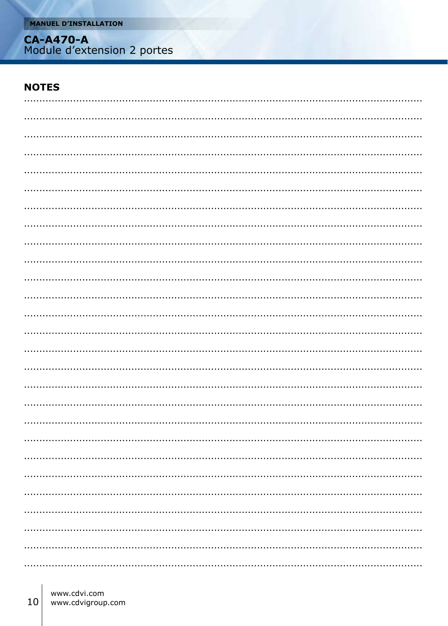**MANUEL D'INSTALLATION** 

| CA-A470-A |                             |  |
|-----------|-----------------------------|--|
|           | Module d'extension 2 portes |  |

#### **NOTES**

www.cdvi.com 10 www.cdvigroup.com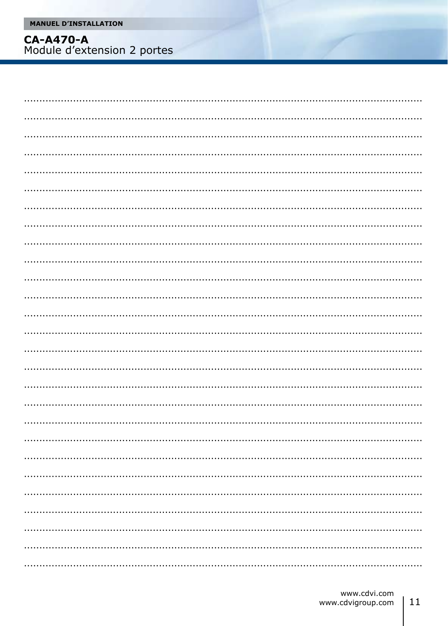#### **MANUEL D'INSTALLATION**

# CA-A470-A<br>Module d'extension 2 portes